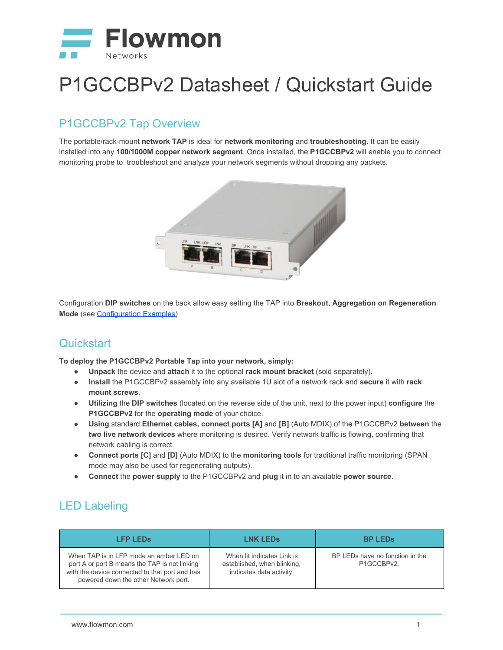

# P1GCCBPv2 Datasheet / Quickstart Guide

### P1GCCBPv2 Tap Overview

The portable/rack-mount **network TAP** is ideal for **network monitoring** and **troubleshooting**. It can be easily installed into any **100/1000M copper network segment**. Once installed, the **P1GCCBPv2** will enable you to connect monitoring probe to troubleshoot and analyze your network segments without dropping any packets.



Configuration **DIP switches** on the back allow easy setting the TAP into **Breakout, Aggregation on Regeneration Mode** (see [Configuration Examples\)](#page-1-0)

#### **Quickstart**

**To deploy the P1GCCBPv2 Portable Tap into your network, simply:**

- **Unpack** the device and **attach** it to the optional **rack mount bracket** (sold separately).
- **Install** the P1GCCBPv2 assembly into any available 1U slot of a network rack and **secure** it with **rack mount screws**.
- **Utilizing** the **DIP switches** (located on the reverse side of the unit, next to the power input) **configure** the **P1GCCBPv2** for the **operating mode** of your choice.
- **Using** standard **Ethernet cables, connect ports [A]** and **[B]** (Auto MDIX) of the P1GCCBPv2 **between** the **two live network devices** where monitoring is desired. Verify network traffic is flowing, confirming that network cabling is correct.
- **Connect ports [C]** and **[D]** (Auto MDIX) to the **monitoring tools** for traditional traffic monitoring (SPAN mode may also be used for regenerating outputs).
- **Connect** the **power supply** to the P1GCCBPv2 and **plug** it in to an available **power source**.

#### LED Labeling

| <b>LFP LEDS</b>                                                                                                                                                                    | <b>LNK LEDS</b>                                                                       | <b>BP LEDS</b>                                |
|------------------------------------------------------------------------------------------------------------------------------------------------------------------------------------|---------------------------------------------------------------------------------------|-----------------------------------------------|
| When TAP is in LFP mode an amber LED on<br>port A or port B means the TAP is not linking<br>with the device connected to that port and has<br>powered down the other Network port. | When lit indicates Link is<br>established, when blinking,<br>indicates data activity. | BP LEDs have no function in the<br>P1GCCBPv2. |